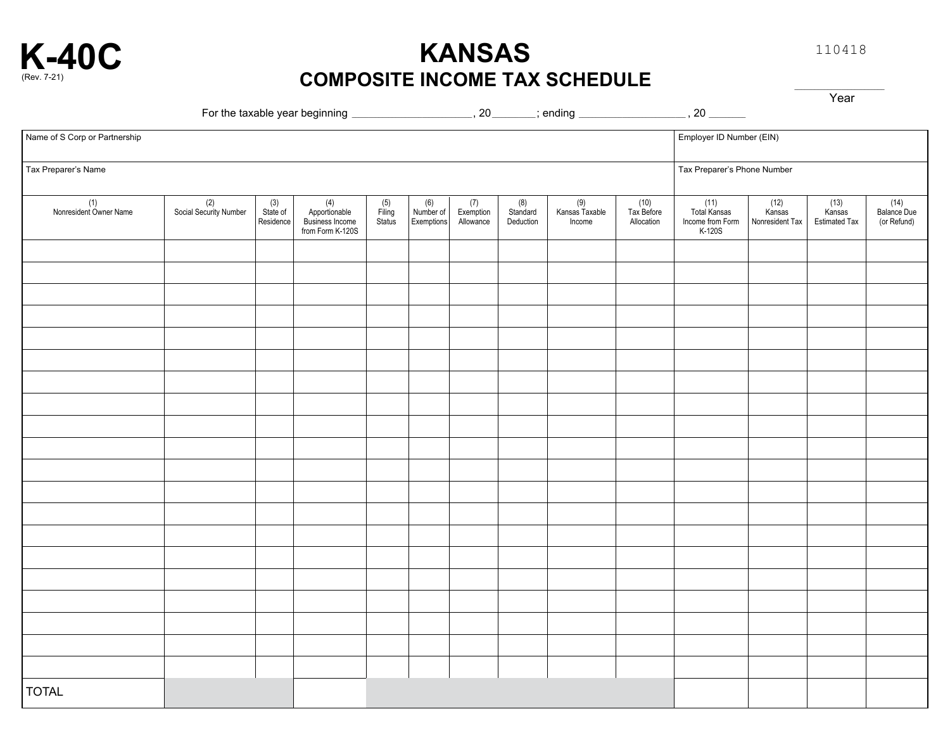

**KANSAS COMPOSITE INCOME TAX SCHEDULE** 110418

Year

| --------<br>For the<br>taxable. | : vear beginning | זר | ----<br>r 10<br>11 L 16 |  |  |
|---------------------------------|------------------|----|-------------------------|--|--|
|                                 |                  |    |                         |  |  |

| Name of S Corp or Partnership |                               |                                |                                                               |                         |                                                                           |                               |                              | Employer ID Number (EIN)        |                                  |                                                    |                                     |                                          |                                      |
|-------------------------------|-------------------------------|--------------------------------|---------------------------------------------------------------|-------------------------|---------------------------------------------------------------------------|-------------------------------|------------------------------|---------------------------------|----------------------------------|----------------------------------------------------|-------------------------------------|------------------------------------------|--------------------------------------|
| Tax Preparer's Name           |                               |                                |                                                               |                         |                                                                           |                               |                              |                                 |                                  | Tax Preparer's Phone Number                        |                                     |                                          |                                      |
| (1)<br>Nonresident Owner Name | (2)<br>Social Security Number | $(3)$<br>State of<br>Residence | $(4)$<br>Apportionable<br>Business Income<br>from Form K-120S | (5)<br>Filing<br>Status | $\begin{array}{ l }\n\hline\n(6) \\ Number of\n\end{array}$<br>Exemptions | (7)<br>Exemption<br>Allowance | (8)<br>Standard<br>Deduction | (9)<br>Kansas Taxable<br>Income | (10)<br>Tax Before<br>Allocation | (11)<br>Total Kansas<br>Income from Form<br>K-120S | $(12)$<br>Kansas<br>Nonresident Tax | $(13)$<br>Kansas<br><b>Estimated Tax</b> | $(14)$<br>Balance Due<br>(or Refund) |
|                               |                               |                                |                                                               |                         |                                                                           |                               |                              |                                 |                                  |                                                    |                                     |                                          |                                      |
|                               |                               |                                |                                                               |                         |                                                                           |                               |                              |                                 |                                  |                                                    |                                     |                                          |                                      |
|                               |                               |                                |                                                               |                         |                                                                           |                               |                              |                                 |                                  |                                                    |                                     |                                          |                                      |
|                               |                               |                                |                                                               |                         |                                                                           |                               |                              |                                 |                                  |                                                    |                                     |                                          |                                      |
|                               |                               |                                |                                                               |                         |                                                                           |                               |                              |                                 |                                  |                                                    |                                     |                                          |                                      |
|                               |                               |                                |                                                               |                         |                                                                           |                               |                              |                                 |                                  |                                                    |                                     |                                          |                                      |
|                               |                               |                                |                                                               |                         |                                                                           |                               |                              |                                 |                                  |                                                    |                                     |                                          |                                      |
|                               |                               |                                |                                                               |                         |                                                                           |                               |                              |                                 |                                  |                                                    |                                     |                                          |                                      |
|                               |                               |                                |                                                               |                         |                                                                           |                               |                              |                                 |                                  |                                                    |                                     |                                          |                                      |
|                               |                               |                                |                                                               |                         |                                                                           |                               |                              |                                 |                                  |                                                    |                                     |                                          |                                      |
|                               |                               |                                |                                                               |                         |                                                                           |                               |                              |                                 |                                  |                                                    |                                     |                                          |                                      |
|                               |                               |                                |                                                               |                         |                                                                           |                               |                              |                                 |                                  |                                                    |                                     |                                          |                                      |
|                               |                               |                                |                                                               |                         |                                                                           |                               |                              |                                 |                                  |                                                    |                                     |                                          |                                      |
|                               |                               |                                |                                                               |                         |                                                                           |                               |                              |                                 |                                  |                                                    |                                     |                                          |                                      |
|                               |                               |                                |                                                               |                         |                                                                           |                               |                              |                                 |                                  |                                                    |                                     |                                          |                                      |
|                               |                               |                                |                                                               |                         |                                                                           |                               |                              |                                 |                                  |                                                    |                                     |                                          |                                      |
|                               |                               |                                |                                                               |                         |                                                                           |                               |                              |                                 |                                  |                                                    |                                     |                                          |                                      |
|                               |                               |                                |                                                               |                         |                                                                           |                               |                              |                                 |                                  |                                                    |                                     |                                          |                                      |
|                               |                               |                                |                                                               |                         |                                                                           |                               |                              |                                 |                                  |                                                    |                                     |                                          |                                      |
|                               |                               |                                |                                                               |                         |                                                                           |                               |                              |                                 |                                  |                                                    |                                     |                                          |                                      |
| <b>TOTAL</b>                  |                               |                                |                                                               |                         |                                                                           |                               |                              |                                 |                                  |                                                    |                                     |                                          |                                      |